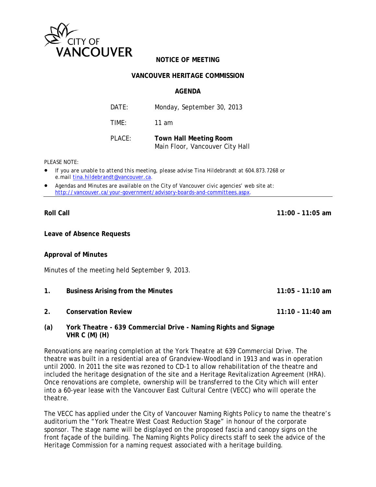

## **NOTICE OF MEETING**

#### **VANCOUVER HERITAGE COMMISSION**

### **AGENDA**

| DATE:  | Monday, September 30, 2013                                       |
|--------|------------------------------------------------------------------|
| TIME:  | 11 am                                                            |
| PLACE: | <b>Town Hall Meeting Room</b><br>Main Floor, Vancouver City Hall |

*PLEASE NOTE:* 

- *If you are unable to attend this meeting, please advise Tina Hildebrandt at 604.873.7268 or e.mail tina.hildebrandt@vancouver.ca*.
- *Agendas and Minutes are available on the City of Vancouver civic agencies' web site at: http://vancouver.ca/your-government/advisory-boards-and-committees.aspx*.

**Leave of Absence Requests** 

**Approval of Minutes** 

Minutes of the meeting held September 9, 2013.

- **1. Business Arising from the Minutes 11:05 11:10 am**
- **2. Conservation Review 11:10 11:40 am**
- **(a) York Theatre 639 Commercial Drive Naming Rights and Signage VHR C (M) (H)**

Renovations are nearing completion at the York Theatre at 639 Commercial Drive. The theatre was built in a residential area of Grandview-Woodland in 1913 and was in operation until 2000. In 2011 the site was rezoned to CD-1 to allow rehabilitation of the theatre and included the heritage designation of the site and a Heritage Revitalization Agreement (HRA). Once renovations are complete, ownership will be transferred to the City which will enter into a 60-year lease with the Vancouver East Cultural Centre (VECC) who will operate the theatre.

The VECC has applied under the City of Vancouver Naming Rights Policy to name the theatre's auditorium the "York Theatre West Coast Reduction Stage" in honour of the corporate sponsor. The stage name will be displayed on the proposed fascia and canopy signs on the front façade of the building. The Naming Rights Policy directs staff to seek the advice of the Heritage Commission for a naming request associated with a heritage building.

**Roll Call 11:00 – 11:05 am**